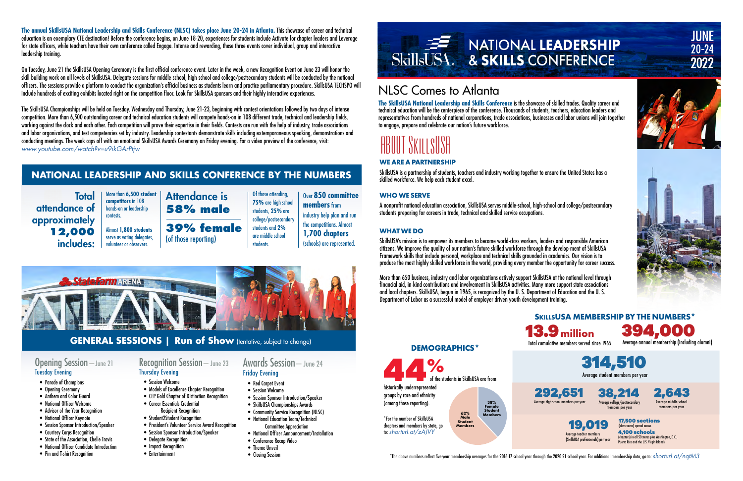## NLSC Comes to Atlanta

**The SkillsUSA National Leadership and Skills Conference** is the showcase of skilled trades. Quality career and technical education will be the centerpiece of the conference. Thousands of students, teachers, education leaders and representatives from hundreds of national corporations, trade associations, businesses and labor unions will join together to engage, prepare and celebrate our nation's future workforce.

# ABOUT SKILLSUSA

**The annual SkillsUSA National Leadership and Skills Conference (NLSC) takes place June 20-24 in Atlanta.** This showcase of career and technical education is an exemplary CTE destination! Before the conference begins, on June 18-20, experiences for students include Activate for chapter leaders and Leverage for state officers, while teachers have their own conference called Engage. Intense and rewarding, these three events cover individual, group and interactive leadership training.

On Tuesday, June 21 the SkillsUSA Opening Ceremony is the first official conference event. Later in the week, a new Recognition Event on June 23 will honor the skill-building work on all levels of SkillsUSA. Delegate sessions for middle-school, high-school and college/postsecondary students will be conducted by the national officers. The sessions provide a platform to conduct the organization's official business as students learn and practice parliamentary procedure. SkillsUSA TECHSPO will include hundreds of exciting exhibits located right on the competition floor. Look for SkillsUSA sponsors and their highly interactive experiences.

> 17,500 sections (classrooms) spread across 4,100 schools members per year

(chapters) in all 50 states plus Washington, D.C., .<br>Puerto Rico and the U.S. Virain Island

 $^{\star}$ The above numbers reflect five-year membership averages for the 2016-17 school year through the 2020-21 school year. For additional membership data, go to: *shorturl.at/nqtM3* 

 $\frac{9}{6}$ of the students in SkillsUSA are from

The SkillsUSA Championships will be held on Tuesday, Wednesday and Thursday, June 21-23, beginning with contest orientations followed by two days of intense competition. More than 6,500 outstanding career and technical education students will compete hands-on in 108 different trade, technical and leadership fields, working against the clock and each other. Each competition will prove their expertise in their fields. Contests are run with the help of industry, trade associations and labor organizations, and test competencies set by industry. Leadership contestants demonstrate skills including extemporaneous speaking, demonstrations and conducting meetings. The week caps off with an emotional SkillsUSA Awards Ceremony on Friday evening. For a video preview of the conference, visit: *[www.youtube.com/watch?v=u9ikGArPtjw](http://www.youtube.com/watch?v=u9ikGArPtjw)*

**Total** attendance of approximately **12,000** includes:



Average student members per year





Average annual membership (including alumni) 394,000

Average college/postsecondary members per year 38,214

Average middle school

2,643



**SKILLSUSA MEMBERSHIP BY THE NUMBERS\***

**DEMOGRAPHICS\***

historically underrepresented groups by race and ethnicity (among those reporting).

\*For the number of SkillsUSA chapters and members by state, go to: *[shorturl.at/zAJVY](https://www.skillsusa.org/wp-content/uploads/2022/01/Schools-and-Chapters-By-State.pdf)*

**62% Male Student Members 38% Female Student Members**



**JUNE** 

 $20 - 24$ 

2022



## **WE ARE A PARTNERSHIP**

SkillsUSA is a partnership of students, teachers and industry working together to ensure the United States has a skilled workforce. We help each student excel.

## **WHO WE SERVE**

A nonprofit national education association, SkillsUSA serves middle-school, high-school and college/postsecondary students preparing for careers in trade, technical and skilled service occupations.

## **WHAT WE DO**

SkillsUSA's mission is to empower its members to become world-class workers, leaders and responsible American citizens. We improve the quality of our nation's future skilled workforce through the develop-ment of SkillsUSA Framework skills that include personal, workplace and technical skills grounded in academics. Our vision is to produce the most highly skilled workforce in the world, providing every member the opportunity for career success.

More than 650 business, industry and labor organizations actively support SkillsUSA at the national level through financial aid, in-kind contributions and involvement in SkillsUSA activities. Many more support state associations and local chapters. SkillsUSA, begun in 1965, is recognized by the U. S. Department of Education and the U. S. Department of Labor as a successful model of employer-driven youth development training.

## **NATIONAL LEADERSHIP AND SKILLS CONFERENCE BY THE NUMBERS**

More than **6,500 student competitors** in 108 hands-on or leadership

contests.

Almost **1,800 students**  serve as voting delegates, volunteer or observers.

Of those attending, **75%** are high school students, **25%** are college/postsecondary Over **850 committee members** from industry help plan and run the competitions. Almost **1,700 chapters** (schools) are represented.



students and **2%** are middle school students. (of those reporting)



## Opening Session—June 21 Tuesday Evening

- Parade of Champions
- Opening Ceremony
- Anthem and Color Guard
- National Officer Welcome
- Advisor of the Year Recognition
- National Officer Keynote
- Session Sponsor Introduction/Speaker
- Courtesy Corps Recognition
- State of the Association, Chelle Travis
- National Officer Candidate Introduction
- Pin and T-shirt Recognition

## Recognition Session—June 23 Thursday Evening

- Session Welcome
- Models of Excellence Chapter Recognition
- CEP Gold Chapter of Distinction Recognition
- Career Essentials Credential Recipient Recognition
- Student2Student Recognition
- President's Volunteer Service Award Recognition
- Session Sponsor Introduction/Speaker
- Delegate Recognition
	- Impact Recognition
- Entertainment

## Awards Session—June 24 Friday Evening

- Red Carpet Event
- Session Welcome
- Session Sponsor Introduction/Speaker • SkillsUSA Championships Awards
- 
- Community Service Recognition (NLSC)
- National Education Team/Technical Committee Appreciation
- National Officer Announcement/Installation
- Conference Recap Video
- Theme Unveil
- Closing Session



## **GENERAL SESSIONS | Run of Show** (tentative, subject to change)